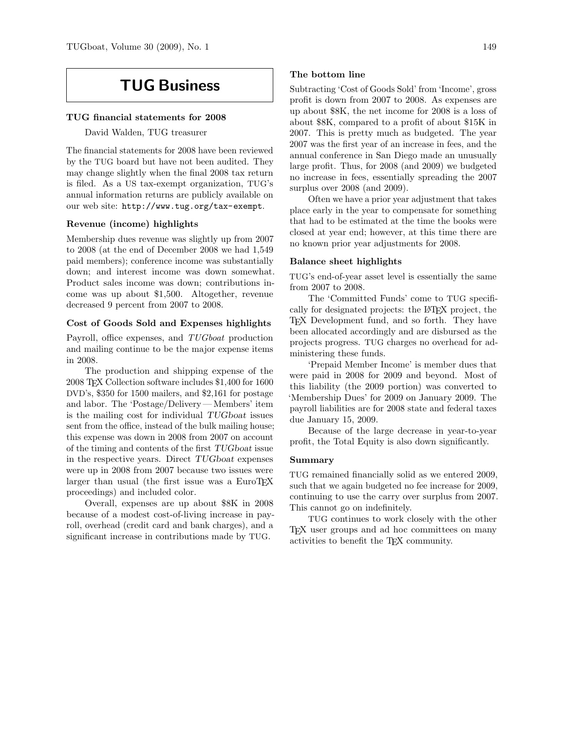# TUG Business

#### TUG financial statements for 2008

David Walden, TUG treasurer

The financial statements for 2008 have been reviewed by the TUG board but have not been audited. They may change slightly when the final 2008 tax return is filed. As a US tax-exempt organization, TUG's annual information returns are publicly available on our web site: http://www.tug.org/tax-exempt.

### Revenue (income) highlights

Membership dues revenue was slightly up from 2007 to 2008 (at the end of December 2008 we had 1,549 paid members); conference income was substantially down; and interest income was down somewhat. Product sales income was down; contributions income was up about \$1,500. Altogether, revenue decreased 9 percent from 2007 to 2008.

#### Cost of Goods Sold and Expenses highlights

Payroll, office expenses, and TUGboat production and mailing continue to be the major expense items in 2008.

The production and shipping expense of the 2008 TEX Collection software includes \$1,400 for 1600 DVD's, \$350 for 1500 mailers, and \$2,161 for postage and labor. The 'Postage/Delivery — Members' item is the mailing cost for individual TUGboat issues sent from the office, instead of the bulk mailing house; this expense was down in 2008 from 2007 on account of the timing and contents of the first TUGboat issue in the respective years. Direct TUGboat expenses were up in 2008 from 2007 because two issues were larger than usual (the first issue was a  $EuroTrX$ proceedings) and included color.

Overall, expenses are up about \$8K in 2008 because of a modest cost-of-living increase in payroll, overhead (credit card and bank charges), and a significant increase in contributions made by TUG.

#### The bottom line

Subtracting 'Cost of Goods Sold' from 'Income', gross profit is down from 2007 to 2008. As expenses are up about \$8K, the net income for 2008 is a loss of about \$8K, compared to a profit of about \$15K in 2007. This is pretty much as budgeted. The year 2007 was the first year of an increase in fees, and the annual conference in San Diego made an unusually large profit. Thus, for 2008 (and 2009) we budgeted no increase in fees, essentially spreading the 2007 surplus over 2008 (and 2009).

Often we have a prior year adjustment that takes place early in the year to compensate for something that had to be estimated at the time the books were closed at year end; however, at this time there are no known prior year adjustments for 2008.

#### Balance sheet highlights

TUG's end-of-year asset level is essentially the same from 2007 to 2008.

The 'Committed Funds' come to TUG specifically for designated projects: the LATEX project, the TEX Development fund, and so forth. They have been allocated accordingly and are disbursed as the projects progress. TUG charges no overhead for administering these funds.

'Prepaid Member Income' is member dues that were paid in 2008 for 2009 and beyond. Most of this liability (the 2009 portion) was converted to 'Membership Dues' for 2009 on January 2009. The payroll liabilities are for 2008 state and federal taxes due January 15, 2009.

Because of the large decrease in year-to-year profit, the Total Equity is also down significantly.

### Summary

TUG remained financially solid as we entered 2009, such that we again budgeted no fee increase for 2009, continuing to use the carry over surplus from 2007. This cannot go on indefinitely.

TUG continues to work closely with the other TEX user groups and ad hoc committees on many activities to benefit the TEX community.